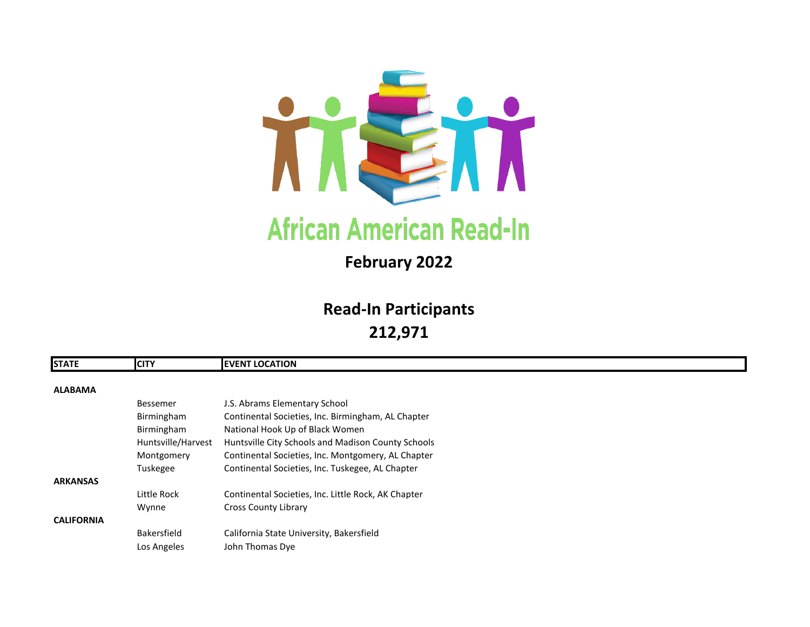

## **February 2022**

# **Read-In Participants 212,971**

| <b>STATE</b>      | <b>CITY</b>        | <b>EVENT LOCATION</b>                               |
|-------------------|--------------------|-----------------------------------------------------|
| <b>ALABAMA</b>    |                    |                                                     |
|                   |                    |                                                     |
|                   | <b>Bessemer</b>    | J.S. Abrams Elementary School                       |
|                   | Birmingham         | Continental Societies, Inc. Birmingham, AL Chapter  |
|                   | Birmingham         | National Hook Up of Black Women                     |
|                   | Huntsville/Harvest | Huntsville City Schools and Madison County Schools  |
|                   | Montgomery         | Continental Societies, Inc. Montgomery, AL Chapter  |
|                   | Tuskegee           | Continental Societies, Inc. Tuskegee, AL Chapter    |
| <b>ARKANSAS</b>   |                    |                                                     |
|                   | Little Rock        | Continental Societies, Inc. Little Rock, AK Chapter |
|                   | Wynne              | <b>Cross County Library</b>                         |
| <b>CALIFORNIA</b> |                    |                                                     |
|                   | Bakersfield        | California State University, Bakersfield            |
|                   | Los Angeles        | John Thomas Dye                                     |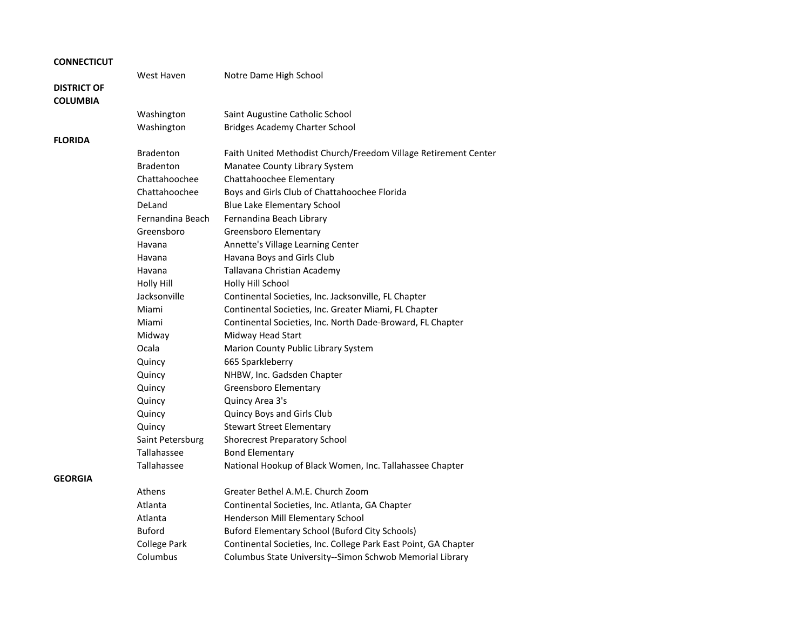|  |  |  | <b>CONNECTICUT</b> |
|--|--|--|--------------------|
|--|--|--|--------------------|

#### **DISTRICT OF COLUMBIA**

**FLORIDA**

**GEORGIA**

West Haven **Notre Dame High School** 

| Washington<br>Washington                              | Saint Augustine Catholic School<br><b>Bridges Academy Charter School</b>                                                     |
|-------------------------------------------------------|------------------------------------------------------------------------------------------------------------------------------|
| <b>Bradenton</b><br><b>Bradenton</b><br>Chattahoochee | Faith United Methodist Church/Freedom Village Retirement Center<br>Manatee County Library System<br>Chattahoochee Elementary |
| Chattahoochee                                         | Boys and Girls Club of Chattahoochee Florida                                                                                 |
| DeLand                                                | <b>Blue Lake Elementary School</b>                                                                                           |
| Fernandina Beach                                      | Fernandina Beach Library                                                                                                     |
| Greensboro                                            | <b>Greensboro Elementary</b>                                                                                                 |
| Havana                                                | Annette's Village Learning Center                                                                                            |
| Havana                                                | Havana Boys and Girls Club                                                                                                   |
| Havana                                                | Tallavana Christian Academy                                                                                                  |
| <b>Holly Hill</b>                                     | Holly Hill School                                                                                                            |
| Jacksonville                                          | Continental Societies, Inc. Jacksonville, FL Chapter                                                                         |
| Miami                                                 | Continental Societies, Inc. Greater Miami, FL Chapter                                                                        |
| Miami                                                 | Continental Societies, Inc. North Dade-Broward, FL Chapter                                                                   |
| Midway                                                | Midway Head Start                                                                                                            |
| Ocala                                                 | Marion County Public Library System                                                                                          |
| Quincy                                                | 665 Sparkleberry                                                                                                             |
| Quincy                                                | NHBW, Inc. Gadsden Chapter                                                                                                   |
| Quincy                                                | <b>Greensboro Elementary</b>                                                                                                 |
| Quincy                                                | Quincy Area 3's                                                                                                              |
| Quincy                                                | Quincy Boys and Girls Club                                                                                                   |
| Quincy                                                | <b>Stewart Street Elementary</b>                                                                                             |
| Saint Petersburg                                      | <b>Shorecrest Preparatory School</b>                                                                                         |
| Tallahassee                                           | <b>Bond Elementary</b>                                                                                                       |
| Tallahassee                                           | National Hookup of Black Women, Inc. Tallahassee Chapter                                                                     |
| Athens                                                | Greater Bethel A.M.E. Church Zoom                                                                                            |
| Atlanta                                               | Continental Societies, Inc. Atlanta, GA Chapter                                                                              |
| Atlanta                                               | Henderson Mill Elementary School                                                                                             |
| <b>Buford</b>                                         | <b>Buford Elementary School (Buford City Schools)</b>                                                                        |
| <b>College Park</b>                                   | Continental Societies, Inc. College Park East Point, GA Chapter                                                              |
| Columbus                                              | Columbus State University--Simon Schwob Memorial Library                                                                     |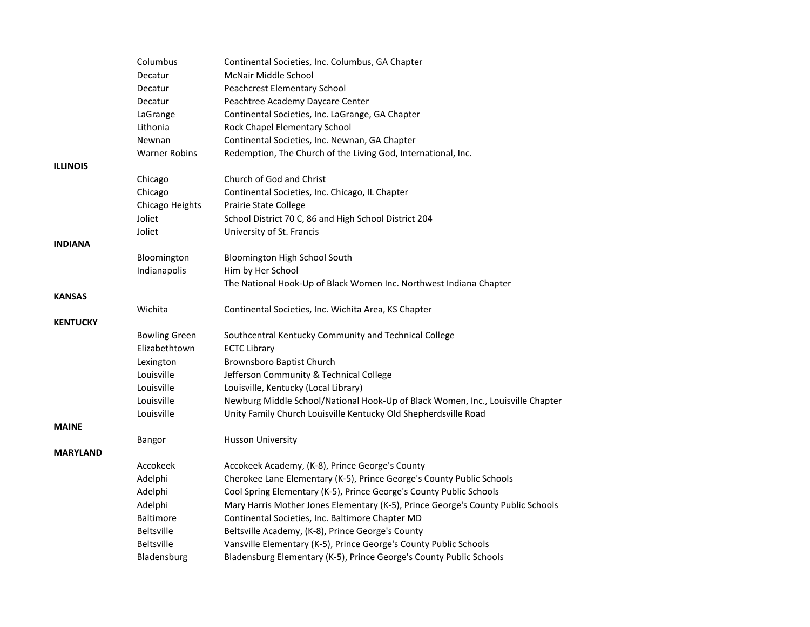|                 | Columbus             | Continental Societies, Inc. Columbus, GA Chapter                                 |
|-----------------|----------------------|----------------------------------------------------------------------------------|
|                 | Decatur              | <b>McNair Middle School</b>                                                      |
|                 | Decatur              | Peachcrest Elementary School                                                     |
|                 | Decatur              | Peachtree Academy Daycare Center                                                 |
|                 | LaGrange             | Continental Societies, Inc. LaGrange, GA Chapter                                 |
|                 | Lithonia             | Rock Chapel Elementary School                                                    |
|                 | Newnan               | Continental Societies, Inc. Newnan, GA Chapter                                   |
|                 | <b>Warner Robins</b> | Redemption, The Church of the Living God, International, Inc.                    |
| <b>ILLINOIS</b> |                      |                                                                                  |
|                 | Chicago              | Church of God and Christ                                                         |
|                 | Chicago              | Continental Societies, Inc. Chicago, IL Chapter                                  |
|                 | Chicago Heights      | <b>Prairie State College</b>                                                     |
|                 | Joliet               | School District 70 C, 86 and High School District 204                            |
|                 | Joliet               | University of St. Francis                                                        |
| <b>INDIANA</b>  |                      |                                                                                  |
|                 | Bloomington          | Bloomington High School South                                                    |
|                 | Indianapolis         | Him by Her School                                                                |
|                 |                      | The National Hook-Up of Black Women Inc. Northwest Indiana Chapter               |
| <b>KANSAS</b>   |                      |                                                                                  |
|                 | Wichita              | Continental Societies, Inc. Wichita Area, KS Chapter                             |
| <b>KENTUCKY</b> |                      |                                                                                  |
|                 | <b>Bowling Green</b> | Southcentral Kentucky Community and Technical College                            |
|                 | Elizabethtown        | <b>ECTC Library</b>                                                              |
|                 | Lexington            | <b>Brownsboro Baptist Church</b>                                                 |
|                 | Louisville           | Jefferson Community & Technical College                                          |
|                 | Louisville           | Louisville, Kentucky (Local Library)                                             |
|                 | Louisville           | Newburg Middle School/National Hook-Up of Black Women, Inc., Louisville Chapter  |
|                 | Louisville           | Unity Family Church Louisville Kentucky Old Shepherdsville Road                  |
| <b>MAINE</b>    |                      |                                                                                  |
|                 | Bangor               | <b>Husson University</b>                                                         |
| <b>MARYLAND</b> |                      |                                                                                  |
|                 | Accokeek             | Accokeek Academy, (K-8), Prince George's County                                  |
|                 | Adelphi              | Cherokee Lane Elementary (K-5), Prince George's County Public Schools            |
|                 | Adelphi              | Cool Spring Elementary (K-5), Prince George's County Public Schools              |
|                 | Adelphi              | Mary Harris Mother Jones Elementary (K-5), Prince George's County Public Schools |
|                 | Baltimore            | Continental Societies, Inc. Baltimore Chapter MD                                 |
|                 | Beltsville           | Beltsville Academy, (K-8), Prince George's County                                |
|                 | Beltsville           | Vansville Elementary (K-5), Prince George's County Public Schools                |
|                 | Bladensburg          | Bladensburg Elementary (K-5), Prince George's County Public Schools              |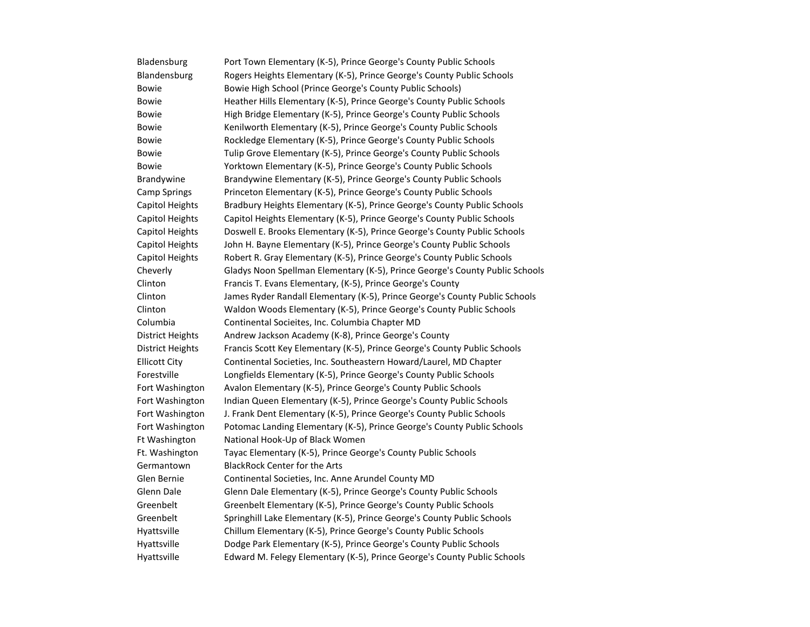| Bladensburg             | Port Town Elementary (K-5), Prince George's County Public Schools            |
|-------------------------|------------------------------------------------------------------------------|
| Blandensburg            | Rogers Heights Elementary (K-5), Prince George's County Public Schools       |
| <b>Bowie</b>            | Bowie High School (Prince George's County Public Schools)                    |
| <b>Bowie</b>            | Heather Hills Elementary (K-5), Prince George's County Public Schools        |
| <b>Bowie</b>            | High Bridge Elementary (K-5), Prince George's County Public Schools          |
| <b>Bowie</b>            | Kenilworth Elementary (K-5), Prince George's County Public Schools           |
| <b>Bowie</b>            | Rockledge Elementary (K-5), Prince George's County Public Schools            |
| <b>Bowie</b>            | Tulip Grove Elementary (K-5), Prince George's County Public Schools          |
| <b>Bowie</b>            | Yorktown Elementary (K-5), Prince George's County Public Schools             |
| Brandywine              | Brandywine Elementary (K-5), Prince George's County Public Schools           |
| <b>Camp Springs</b>     | Princeton Elementary (K-5), Prince George's County Public Schools            |
| Capitol Heights         | Bradbury Heights Elementary (K-5), Prince George's County Public Schools     |
| <b>Capitol Heights</b>  | Capitol Heights Elementary (K-5), Prince George's County Public Schools      |
| <b>Capitol Heights</b>  | Doswell E. Brooks Elementary (K-5), Prince George's County Public Schools    |
| <b>Capitol Heights</b>  | John H. Bayne Elementary (K-5), Prince George's County Public Schools        |
| <b>Capitol Heights</b>  | Robert R. Gray Elementary (K-5), Prince George's County Public Schools       |
| Cheverly                | Gladys Noon Spellman Elementary (K-5), Prince George's County Public Schools |
| Clinton                 | Francis T. Evans Elementary, (K-5), Prince George's County                   |
| Clinton                 | James Ryder Randall Elementary (K-5), Prince George's County Public Schools  |
| Clinton                 | Waldon Woods Elementary (K-5), Prince George's County Public Schools         |
| Columbia                | Continental Socieites, Inc. Columbia Chapter MD                              |
| <b>District Heights</b> | Andrew Jackson Academy (K-8), Prince George's County                         |
| <b>District Heights</b> | Francis Scott Key Elementary (K-5), Prince George's County Public Schools    |
| <b>Ellicott City</b>    | Continental Societies, Inc. Southeastern Howard/Laurel, MD Chapter           |
| Forestville             | Longfields Elementary (K-5), Prince George's County Public Schools           |
| Fort Washington         | Avalon Elementary (K-5), Prince George's County Public Schools               |
| Fort Washington         | Indian Queen Elementary (K-5), Prince George's County Public Schools         |
| Fort Washington         | J. Frank Dent Elementary (K-5), Prince George's County Public Schools        |
| Fort Washington         | Potomac Landing Elementary (K-5), Prince George's County Public Schools      |
| Ft Washington           | National Hook-Up of Black Women                                              |
| Ft. Washington          | Tayac Elementary (K-5), Prince George's County Public Schools                |
| Germantown              | <b>BlackRock Center for the Arts</b>                                         |
| Glen Bernie             | Continental Societies, Inc. Anne Arundel County MD                           |
| Glenn Dale              | Glenn Dale Elementary (K-5), Prince George's County Public Schools           |
| Greenbelt               | Greenbelt Elementary (K-5), Prince George's County Public Schools            |
| Greenbelt               | Springhill Lake Elementary (K-5), Prince George's County Public Schools      |
| Hyattsville             | Chillum Elementary (K-5), Prince George's County Public Schools              |
| Hyattsville             | Dodge Park Elementary (K-5), Prince George's County Public Schools           |
| Hyattsville             | Edward M. Felegy Elementary (K-5), Prince George's County Public Schools     |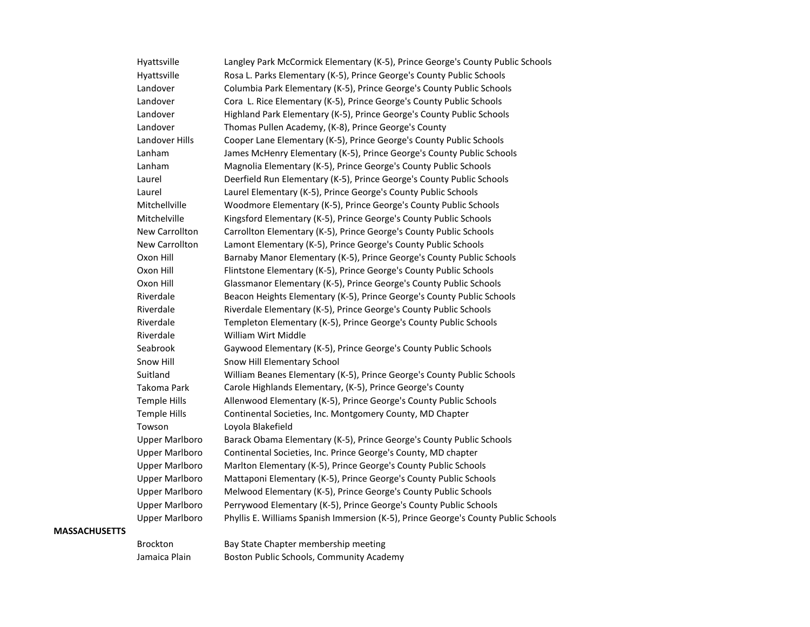| Hyattsville           | Langley Park McCormick Elementary (K-5), Prince George's County Public Schools     |
|-----------------------|------------------------------------------------------------------------------------|
| Hyattsville           | Rosa L. Parks Elementary (K-5), Prince George's County Public Schools              |
| Landover              | Columbia Park Elementary (K-5), Prince George's County Public Schools              |
| Landover              | Cora L. Rice Elementary (K-5), Prince George's County Public Schools               |
| Landover              | Highland Park Elementary (K-5), Prince George's County Public Schools              |
| Landover              | Thomas Pullen Academy, (K-8), Prince George's County                               |
| Landover Hills        | Cooper Lane Elementary (K-5), Prince George's County Public Schools                |
| Lanham                | James McHenry Elementary (K-5), Prince George's County Public Schools              |
| Lanham                | Magnolia Elementary (K-5), Prince George's County Public Schools                   |
| Laurel                | Deerfield Run Elementary (K-5), Prince George's County Public Schools              |
| Laurel                | Laurel Elementary (K-5), Prince George's County Public Schools                     |
| Mitchellville         | Woodmore Elementary (K-5), Prince George's County Public Schools                   |
| Mitchelville          | Kingsford Elementary (K-5), Prince George's County Public Schools                  |
| New Carrollton        | Carrollton Elementary (K-5), Prince George's County Public Schools                 |
| <b>New Carrollton</b> | Lamont Elementary (K-5), Prince George's County Public Schools                     |
| Oxon Hill             | Barnaby Manor Elementary (K-5), Prince George's County Public Schools              |
| Oxon Hill             | Flintstone Elementary (K-5), Prince George's County Public Schools                 |
| Oxon Hill             | Glassmanor Elementary (K-5), Prince George's County Public Schools                 |
| Riverdale             | Beacon Heights Elementary (K-5), Prince George's County Public Schools             |
| Riverdale             | Riverdale Elementary (K-5), Prince George's County Public Schools                  |
| Riverdale             | Templeton Elementary (K-5), Prince George's County Public Schools                  |
| Riverdale             | William Wirt Middle                                                                |
| Seabrook              | Gaywood Elementary (K-5), Prince George's County Public Schools                    |
| Snow Hill             | Snow Hill Elementary School                                                        |
| Suitland              | William Beanes Elementary (K-5), Prince George's County Public Schools             |
| Takoma Park           | Carole Highlands Elementary, (K-5), Prince George's County                         |
| <b>Temple Hills</b>   | Allenwood Elementary (K-5), Prince George's County Public Schools                  |
| <b>Temple Hills</b>   | Continental Societies, Inc. Montgomery County, MD Chapter                          |
| Towson                | Loyola Blakefield                                                                  |
| <b>Upper Marlboro</b> | Barack Obama Elementary (K-5), Prince George's County Public Schools               |
| <b>Upper Marlboro</b> | Continental Societies, Inc. Prince George's County, MD chapter                     |
| <b>Upper Marlboro</b> | Marlton Elementary (K-5), Prince George's County Public Schools                    |
| <b>Upper Marlboro</b> | Mattaponi Elementary (K-5), Prince George's County Public Schools                  |
| <b>Upper Marlboro</b> | Melwood Elementary (K-5), Prince George's County Public Schools                    |
| <b>Upper Marlboro</b> | Perrywood Elementary (K-5), Prince George's County Public Schools                  |
| <b>Upper Marlboro</b> | Phyllis E. Williams Spanish Immersion (K-5), Prince George's County Public Schools |
|                       |                                                                                    |

#### **MASSACHUSETTS**

Brockton Bay State Chapter membership meeting Jamaica Plain Boston Public Schools, Community Academy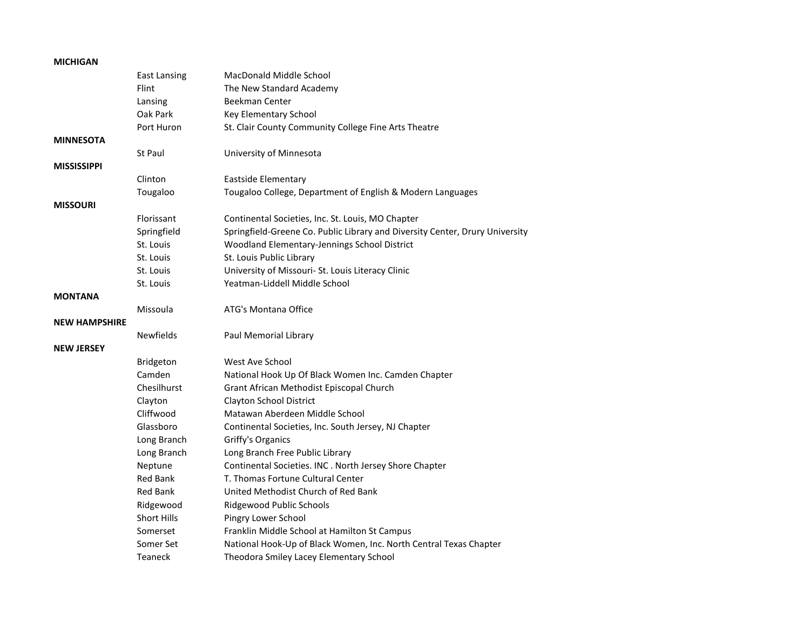### **MICHIGAN**

|                      | <b>East Lansing</b> | MacDonald Middle School                                                      |
|----------------------|---------------------|------------------------------------------------------------------------------|
|                      | Flint               | The New Standard Academy                                                     |
|                      | Lansing             | <b>Beekman Center</b>                                                        |
|                      | Oak Park            | Key Elementary School                                                        |
|                      | Port Huron          | St. Clair County Community College Fine Arts Theatre                         |
| <b>MINNESOTA</b>     |                     |                                                                              |
|                      | St Paul             | University of Minnesota                                                      |
| <b>MISSISSIPPI</b>   |                     |                                                                              |
|                      | Clinton             | <b>Eastside Elementary</b>                                                   |
|                      | Tougaloo            | Tougaloo College, Department of English & Modern Languages                   |
| <b>MISSOURI</b>      |                     |                                                                              |
|                      | Florissant          | Continental Societies, Inc. St. Louis, MO Chapter                            |
|                      | Springfield         | Springfield-Greene Co. Public Library and Diversity Center, Drury University |
|                      | St. Louis           | Woodland Elementary-Jennings School District                                 |
|                      | St. Louis           | St. Louis Public Library                                                     |
|                      | St. Louis           | University of Missouri- St. Louis Literacy Clinic                            |
|                      | St. Louis           | Yeatman-Liddell Middle School                                                |
| <b>MONTANA</b>       |                     |                                                                              |
|                      | Missoula            | ATG's Montana Office                                                         |
| <b>NEW HAMPSHIRE</b> |                     |                                                                              |
|                      | <b>Newfields</b>    | Paul Memorial Library                                                        |
| <b>NEW JERSEY</b>    |                     |                                                                              |
|                      | Bridgeton           | West Ave School                                                              |
|                      | Camden              | National Hook Up Of Black Women Inc. Camden Chapter                          |
|                      | Chesilhurst         | Grant African Methodist Episcopal Church                                     |
|                      | Clayton             | <b>Clayton School District</b>                                               |
|                      | Cliffwood           | Matawan Aberdeen Middle School                                               |
|                      | Glassboro           | Continental Societies, Inc. South Jersey, NJ Chapter                         |
|                      | Long Branch         | Griffy's Organics                                                            |
|                      | Long Branch         | Long Branch Free Public Library                                              |
|                      | Neptune             | Continental Societies. INC. North Jersey Shore Chapter                       |
|                      | <b>Red Bank</b>     | T. Thomas Fortune Cultural Center                                            |
|                      | <b>Red Bank</b>     | United Methodist Church of Red Bank                                          |
|                      | Ridgewood           | <b>Ridgewood Public Schools</b>                                              |
|                      | <b>Short Hills</b>  | Pingry Lower School                                                          |
|                      | Somerset            | Franklin Middle School at Hamilton St Campus                                 |
|                      | Somer Set           | National Hook-Up of Black Women, Inc. North Central Texas Chapter            |
|                      | Teaneck             | Theodora Smiley Lacey Elementary School                                      |
|                      |                     |                                                                              |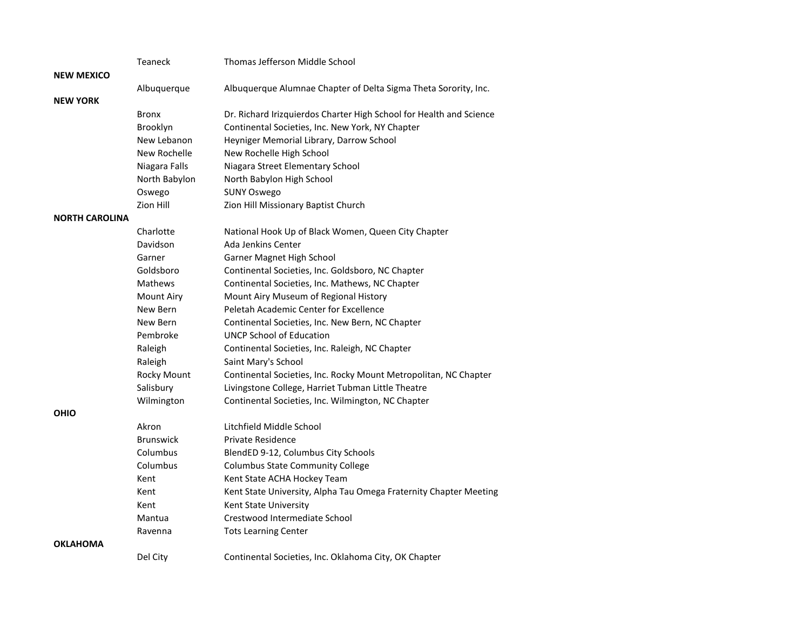|                       | Teaneck           | Thomas Jefferson Middle School                                      |
|-----------------------|-------------------|---------------------------------------------------------------------|
| <b>NEW MEXICO</b>     |                   |                                                                     |
|                       | Albuquerque       | Albuquerque Alumnae Chapter of Delta Sigma Theta Sorority, Inc.     |
| <b>NEW YORK</b>       |                   |                                                                     |
|                       | <b>Bronx</b>      | Dr. Richard Irizquierdos Charter High School for Health and Science |
|                       | Brooklyn          | Continental Societies, Inc. New York, NY Chapter                    |
|                       | New Lebanon       | Heyniger Memorial Library, Darrow School                            |
|                       | New Rochelle      | New Rochelle High School                                            |
|                       | Niagara Falls     | Niagara Street Elementary School                                    |
|                       | North Babylon     | North Babylon High School                                           |
|                       | Oswego            | <b>SUNY Oswego</b>                                                  |
|                       | Zion Hill         | Zion Hill Missionary Baptist Church                                 |
| <b>NORTH CAROLINA</b> |                   |                                                                     |
|                       | Charlotte         | National Hook Up of Black Women, Queen City Chapter                 |
|                       | Davidson          | <b>Ada Jenkins Center</b>                                           |
|                       | Garner            | Garner Magnet High School                                           |
|                       | Goldsboro         | Continental Societies, Inc. Goldsboro, NC Chapter                   |
|                       | Mathews           | Continental Societies, Inc. Mathews, NC Chapter                     |
|                       | <b>Mount Airy</b> | Mount Airy Museum of Regional History                               |
|                       | New Bern          | Peletah Academic Center for Excellence                              |
|                       | New Bern          | Continental Societies, Inc. New Bern, NC Chapter                    |
|                       | Pembroke          | <b>UNCP School of Education</b>                                     |
|                       | Raleigh           | Continental Societies, Inc. Raleigh, NC Chapter                     |
|                       | Raleigh           | Saint Mary's School                                                 |
|                       | Rocky Mount       | Continental Societies, Inc. Rocky Mount Metropolitan, NC Chapter    |
|                       | Salisbury         | Livingstone College, Harriet Tubman Little Theatre                  |
|                       | Wilmington        | Continental Societies, Inc. Wilmington, NC Chapter                  |
| <b>OHIO</b>           |                   |                                                                     |
|                       | Akron             | Litchfield Middle School                                            |
|                       | <b>Brunswick</b>  | Private Residence                                                   |
|                       | Columbus          | BlendED 9-12, Columbus City Schools                                 |
|                       | Columbus          | <b>Columbus State Community College</b>                             |
|                       | Kent              | Kent State ACHA Hockey Team                                         |
|                       | Kent              | Kent State University, Alpha Tau Omega Fraternity Chapter Meeting   |
|                       | Kent              | Kent State University                                               |
|                       | Mantua            | Crestwood Intermediate School                                       |
|                       | Ravenna           | <b>Tots Learning Center</b>                                         |
| <b>OKLAHOMA</b>       |                   |                                                                     |
|                       | Del City          | Continental Societies, Inc. Oklahoma City, OK Chapter               |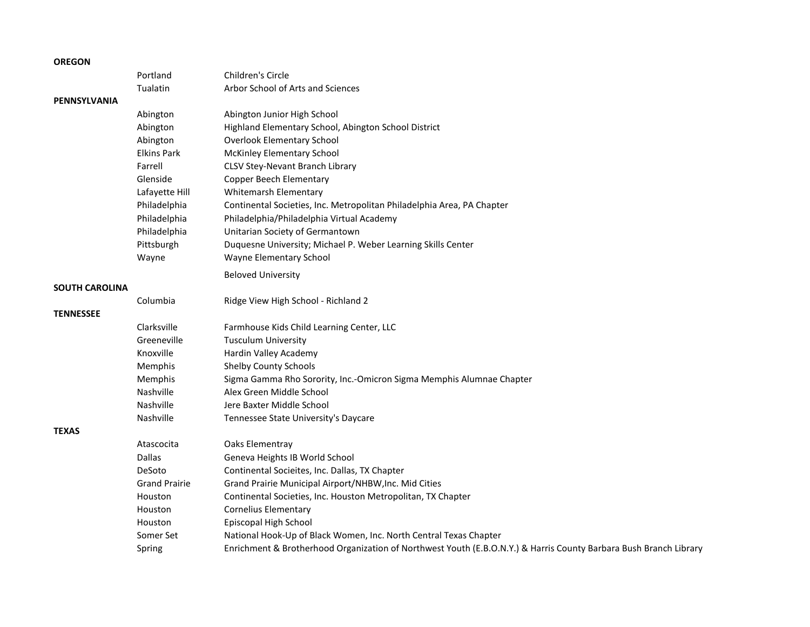#### **OREGON**

|                       | Portland             | Children's Circle                                                                                                 |
|-----------------------|----------------------|-------------------------------------------------------------------------------------------------------------------|
|                       | Tualatin             | Arbor School of Arts and Sciences                                                                                 |
| PENNSYLVANIA          |                      |                                                                                                                   |
|                       | Abington             | Abington Junior High School                                                                                       |
|                       | Abington             | Highland Elementary School, Abington School District                                                              |
|                       | Abington             | <b>Overlook Elementary School</b>                                                                                 |
|                       | <b>Elkins Park</b>   | <b>McKinley Elementary School</b>                                                                                 |
|                       | Farrell              | <b>CLSV Stey-Nevant Branch Library</b>                                                                            |
|                       | Glenside             | <b>Copper Beech Elementary</b>                                                                                    |
|                       | Lafayette Hill       | <b>Whitemarsh Elementary</b>                                                                                      |
|                       | Philadelphia         | Continental Societies, Inc. Metropolitan Philadelphia Area, PA Chapter                                            |
|                       | Philadelphia         | Philadelphia/Philadelphia Virtual Academy                                                                         |
|                       | Philadelphia         | Unitarian Society of Germantown                                                                                   |
|                       | Pittsburgh           | Duquesne University; Michael P. Weber Learning Skills Center                                                      |
|                       | Wayne                | Wayne Elementary School                                                                                           |
|                       |                      | <b>Beloved University</b>                                                                                         |
| <b>SOUTH CAROLINA</b> |                      |                                                                                                                   |
|                       | Columbia             | Ridge View High School - Richland 2                                                                               |
| <b>TENNESSEE</b>      |                      |                                                                                                                   |
|                       | Clarksville          | Farmhouse Kids Child Learning Center, LLC                                                                         |
|                       | Greeneville          | <b>Tusculum University</b>                                                                                        |
|                       | Knoxville            | Hardin Valley Academy                                                                                             |
|                       | Memphis              | <b>Shelby County Schools</b>                                                                                      |
|                       | Memphis              | Sigma Gamma Rho Sorority, Inc.-Omicron Sigma Memphis Alumnae Chapter                                              |
|                       | Nashville            | Alex Green Middle School                                                                                          |
|                       | Nashville            | Jere Baxter Middle School                                                                                         |
|                       | Nashville            | Tennessee State University's Daycare                                                                              |
| <b>TEXAS</b>          |                      |                                                                                                                   |
|                       | Atascocita           | Oaks Elementray                                                                                                   |
|                       | Dallas               | Geneva Heights IB World School                                                                                    |
|                       | DeSoto               | Continental Socieites, Inc. Dallas, TX Chapter                                                                    |
|                       | <b>Grand Prairie</b> | Grand Prairie Municipal Airport/NHBW, Inc. Mid Cities                                                             |
|                       | Houston              | Continental Societies, Inc. Houston Metropolitan, TX Chapter                                                      |
|                       | Houston              | <b>Cornelius Elementary</b>                                                                                       |
|                       | Houston              | Episcopal High School                                                                                             |
|                       | Somer Set            | National Hook-Up of Black Women, Inc. North Central Texas Chapter                                                 |
|                       | Spring               | Enrichment & Brotherhood Organization of Northwest Youth (E.B.O.N.Y.) & Harris County Barbara Bush Branch Library |
|                       |                      |                                                                                                                   |

## **TEXAS**